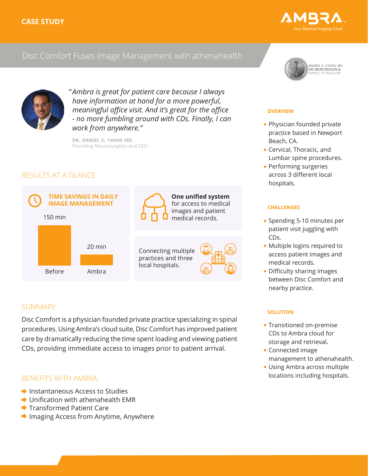

## Disc Comfort Fuses Image Management with athenahealth



*Ambra is great for patient care because I always " have information at hand for a more powerful, meaningful office visit. And it's great for the office - no more fumbling around with CDs. Finally, I can work from anywhere."*

**dr. daniel s. yanni md** Founding Neurosurgeon and CEO

## RESULTS AT A GLANCE



## **SUMMARY**

Disc Comfort is a physician founded private practice specializing in spinal procedures. Using Ambra's cloud suite, Disc Comfort has improved patient care by dramatically reducing the time spent loading and viewing patient CDs, providing immediate access to images prior to patient arrival.

## BENEFITS WITH AMBRA:

- $\rightarrow$  Instantaneous Access to Studies
- **→ Unification with athenahealth EMR**
- **→ Transformed Patient Care**
- **▶ Imaging Access from Anytime, Anywhere**



#### **overview**

- Physician founded private practice based in Newport Beach, CA.
- Cervical, Thoracic, and Lumbar spine procedures.
- Performing surgeries across 3 different local hospitals.

#### **challenges**

- Spending 5-10 minutes per patient visit juggling with CDs.
- Multiple logins required to access patient images and medical records.
- Difficulty sharing images between Disc Comfort and nearby practice.

#### **solution**

- Transitioned on-premise CDs to Ambra cloud for storage and retrieval.
- Connected image management to athenahealth.
- Using Ambra across multiple locations including hospitals.